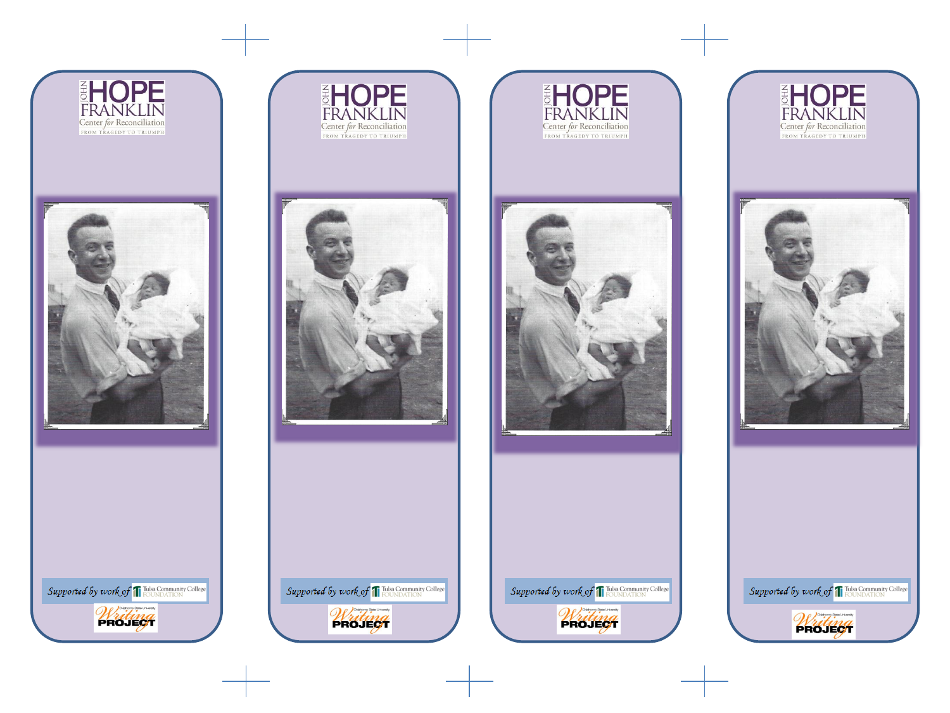









Supported by work of T Tulsa Community College

Writing